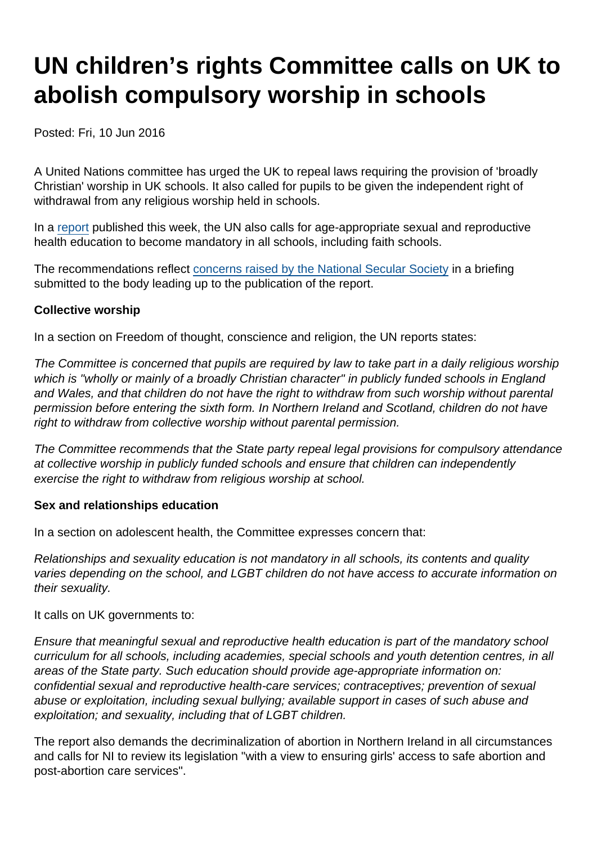# UN children's rights Committee calls on UK to abolish compulsory worship in schools

Posted: Fri, 10 Jun 2016

A United Nations committee has urged the UK to repeal laws requiring the provision of 'broadly Christian' worship in UK schools. It also called for pupils to be given the independent right of withdrawal from any religious worship held in schools.

In a [report](https://www.secularism.org.uk/uploads/crcgbr.pdf) published this week, the UN also calls for age-appropriate sexual and reproductive health education to become mandatory in all schools, including faith schools.

The recommendations reflect [concerns raised by the National Secular Society](https://www.secularism.org.uk/uploads/uncrc-pswg72-nss-submission.pdf) in a briefing submitted to the body leading up to the publication of the report.

#### Collective worship

In a section on Freedom of thought, conscience and religion, the UN reports states:

The Committee is concerned that pupils are required by law to take part in a daily religious worship which is "wholly or mainly of a broadly Christian character" in publicly funded schools in England and Wales, and that children do not have the right to withdraw from such worship without parental permission before entering the sixth form. In Northern Ireland and Scotland, children do not have right to withdraw from collective worship without parental permission.

The Committee recommends that the State party repeal legal provisions for compulsory attendance at collective worship in publicly funded schools and ensure that children can independently exercise the right to withdraw from religious worship at school.

Sex and relationships education

In a section on adolescent health, the Committee expresses concern that:

Relationships and sexuality education is not mandatory in all schools, its contents and quality varies depending on the school, and LGBT children do not have access to accurate information on their sexuality.

It calls on UK governments to:

Ensure that meaningful sexual and reproductive health education is part of the mandatory school curriculum for all schools, including academies, special schools and youth detention centres, in all areas of the State party. Such education should provide age-appropriate information on: confidential sexual and reproductive health-care services; contraceptives; prevention of sexual abuse or exploitation, including sexual bullying; available support in cases of such abuse and exploitation; and sexuality, including that of LGBT children.

The report also demands the decriminalization of abortion in Northern Ireland in all circumstances and calls for NI to review its legislation "with a view to ensuring girls' access to safe abortion and post-abortion care services".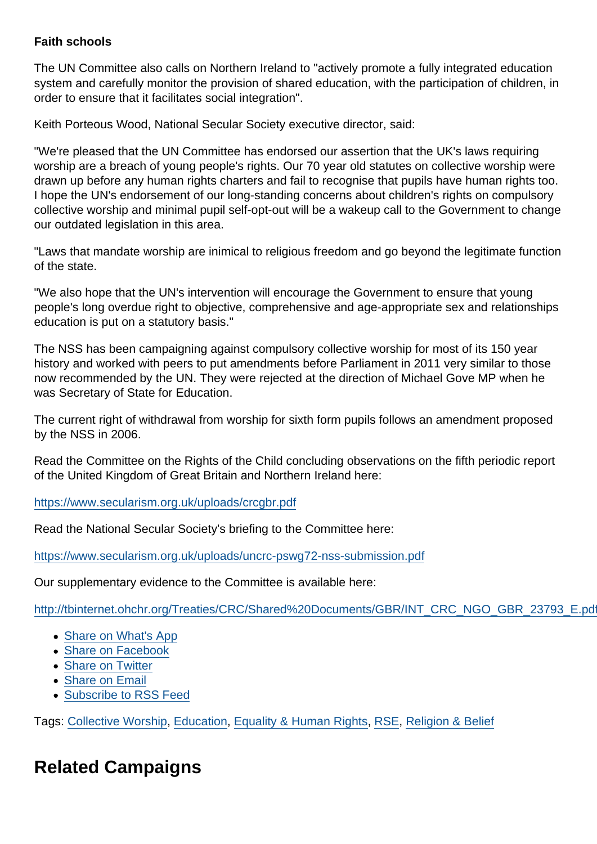### Faith schools

The UN Committee also calls on Northern Ireland to "actively promote a fully integrated education system and carefully monitor the provision of shared education, with the participation of children, in order to ensure that it facilitates social integration".

Keith Porteous Wood, National Secular Society executive director, said:

"We're pleased that the UN Committee has endorsed our assertion that the UK's laws requiring worship are a breach of young people's rights. Our 70 year old statutes on collective worship were drawn up before any human rights charters and fail to recognise that pupils have human rights too. I hope the UN's endorsement of our long-standing concerns about children's rights on compulsory collective worship and minimal pupil self-opt-out will be a wakeup call to the Government to change our outdated legislation in this area.

"Laws that mandate worship are inimical to religious freedom and go beyond the legitimate function of the state.

"We also hope that the UN's intervention will encourage the Government to ensure that young people's long overdue right to objective, comprehensive and age-appropriate sex and relationships education is put on a statutory basis."

The NSS has been campaigning against compulsory collective worship for most of its 150 year history and worked with peers to put amendments before Parliament in 2011 very similar to those now recommended by the UN. They were rejected at the direction of Michael Gove MP when he was Secretary of State for Education.

The current right of withdrawal from worship for sixth form pupils follows an amendment proposed by the NSS in 2006.

Read the Committee on the Rights of the Child concluding observations on the fifth periodic report of the United Kingdom of Great Britain and Northern Ireland here:

<https://www.secularism.org.uk/uploads/crcgbr.pdf>

Read the National Secular Society's briefing to the Committee here:

<https://www.secularism.org.uk/uploads/uncrc-pswg72-nss-submission.pdf>

Our supplementary evidence to the Committee is available here:

[http://tbinternet.ohchr.org/Treaties/CRC/Shared%20Documents/GBR/INT\\_CRC\\_NGO\\_GBR\\_23793\\_E.pdf](http://tbinternet.ohchr.org/Treaties/CRC/Shared Documents/GBR/INT_CRC_NGO_GBR_23793_E.pdf)

- [Share on What's App](whatsapp://send?text=http://www.secularism.org.uk/news/2016/06/un-childrens-rights-committee-calls-on-uk-to-abolish-compulsory-worship-in-schools?format=pdf)
- [Share on Facebook](https://www.facebook.com/sharer/sharer.php?u=http://www.secularism.org.uk/news/2016/06/un-childrens-rights-committee-calls-on-uk-to-abolish-compulsory-worship-in-schools?format=pdf&t=UN+children’s+rights+Committee+calls+on+UK+to+abolish+compulsory+worship+in+schools)
- [Share on Twitter](https://twitter.com/intent/tweet?url=http://www.secularism.org.uk/news/2016/06/un-childrens-rights-committee-calls-on-uk-to-abolish-compulsory-worship-in-schools?format=pdf&text=UN+children’s+rights+Committee+calls+on+UK+to+abolish+compulsory+worship+in+schools&via=NatSecSoc)
- [Share on Email](https://www.secularism.org.uk/share.html?url=http://www.secularism.org.uk/news/2016/06/un-childrens-rights-committee-calls-on-uk-to-abolish-compulsory-worship-in-schools?format=pdf&title=UN+children’s+rights+Committee+calls+on+UK+to+abolish+compulsory+worship+in+schools)
- [Subscribe to RSS Feed](/mnt/web-data/www/cp-nss/feeds/rss/news)

Tags: [Collective Worship,](https://www.secularism.org.uk/news/tags/Collective+Worship) [Education,](https://www.secularism.org.uk/news/tags/Education) [Equality & Human Rights,](https://www.secularism.org.uk/news/tags/Equality+&+Human+Rights) [RSE](https://www.secularism.org.uk/news/tags/RSE), [Religion & Belief](https://www.secularism.org.uk/news/tags/Religion+&+Belief)

# Related Campaigns